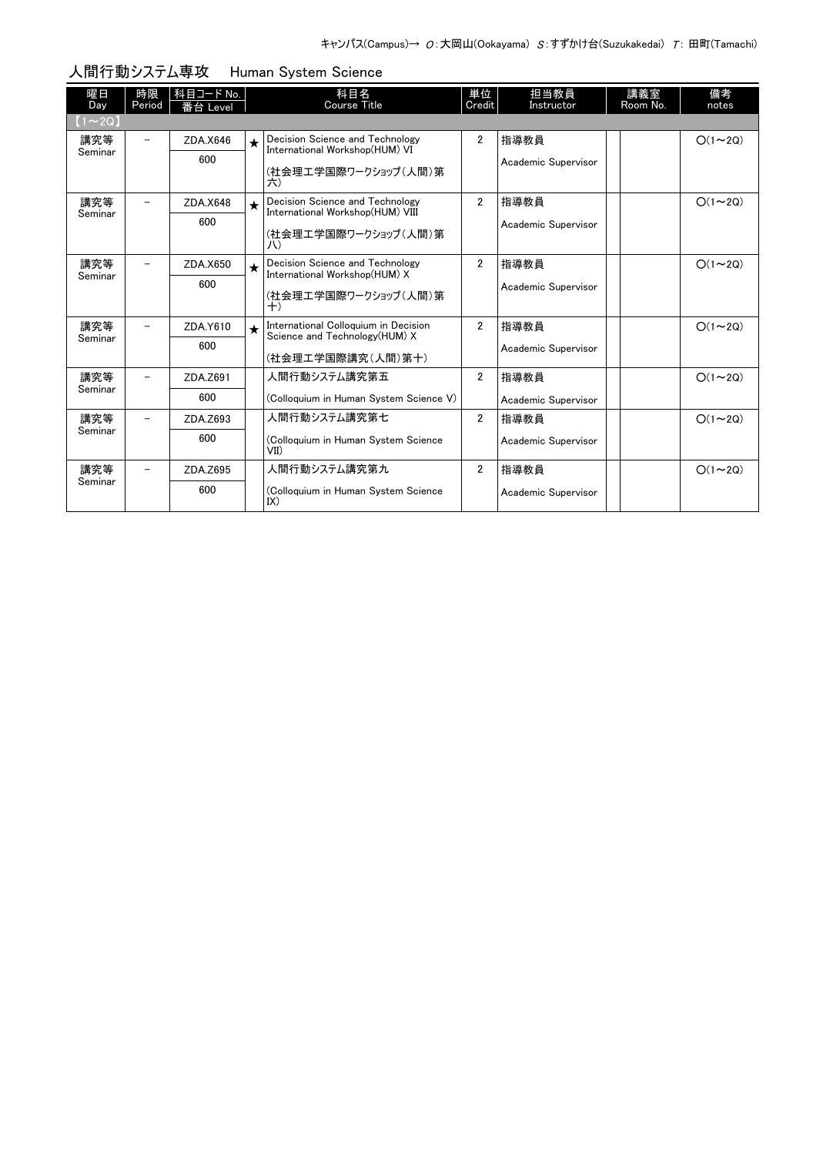| 曜日<br>Day    | 時限<br>Period             | 科目コード No.<br>番台 Level |         | 科目名<br><b>Course Title</b>                                            | 単位<br>Credit   | 担当教員<br>Instructor  |  | 講義室<br>Room No. | 備考<br>notes   |  |  |
|--------------|--------------------------|-----------------------|---------|-----------------------------------------------------------------------|----------------|---------------------|--|-----------------|---------------|--|--|
| $(1\sim 2Q)$ |                          |                       |         |                                                                       |                |                     |  |                 |               |  |  |
| 講究等          | $\overline{\phantom{0}}$ | ZDA.X646              | $\star$ | Decision Science and Technology<br>International Workshop(HUM) VI     | $\overline{2}$ | 指導教員                |  |                 | $O(1\sim 2Q)$ |  |  |
| Seminar      |                          | 600                   |         | (社会理工学国際ワークショップ(人間)第<br>六)                                            |                | Academic Supervisor |  |                 |               |  |  |
| 講究等          | $\overline{\phantom{0}}$ | ZDA.X648              | $\star$ | Decision Science and Technology<br>International Workshop(HUM) VIII   | $\overline{2}$ | 指導教員                |  |                 | $O(1\sim 2Q)$ |  |  |
| Seminar      |                          | 600                   |         | (社会理工学国際ワークショップ(人間)第<br>JV)                                           |                | Academic Supervisor |  |                 |               |  |  |
| 講究等          | -                        | ZDA.X650              | $\star$ | Decision Science and Technology<br>International Workshop(HUM) X      | $\overline{2}$ | 指導教員                |  |                 | $O(1\sim 2Q)$ |  |  |
| Seminar      |                          | 600                   |         | (社会理工学国際ワークショップ(人間)第<br>$^{+)}$                                       |                | Academic Supervisor |  |                 |               |  |  |
| 講究等          | $\overline{\phantom{0}}$ | ZDA.Y610              | $\star$ | International Colloquium in Decision<br>Science and Technology(HUM) X | $\overline{2}$ | 指導教員                |  |                 | $O(1\sim 2Q)$ |  |  |
| Seminar      |                          | 600                   |         | (社会理工学国際講究(人間)第十)                                                     |                | Academic Supervisor |  |                 |               |  |  |
| 講究等          |                          | ZDA.Z691              |         | 人間行動システム講究第五                                                          | $\overline{2}$ | 指導教員                |  |                 | $O(1\sim 2Q)$ |  |  |
| Seminar      |                          | 600                   |         | (Colloquium in Human System Science V)                                |                | Academic Supervisor |  |                 |               |  |  |
| 講究等          |                          | ZDA.Z693              |         | 人間行動システム講究第七                                                          | $\overline{2}$ | 指導教員                |  |                 | $O(1\sim 2Q)$ |  |  |
| Seminar      |                          | 600                   |         | (Colloquium in Human System Science<br>VII                            |                | Academic Supervisor |  |                 |               |  |  |
| 講究等          |                          | ZDA.Z695              |         | 人間行動システム講究第九                                                          | $\overline{2}$ | 指導教員                |  |                 | $O(1\sim 2Q)$ |  |  |
| Seminar      |                          | 600                   |         | (Colloquium in Human System Science<br>IX)                            |                | Academic Supervisor |  |                 |               |  |  |

## 人間行動システム専攻 Human System Science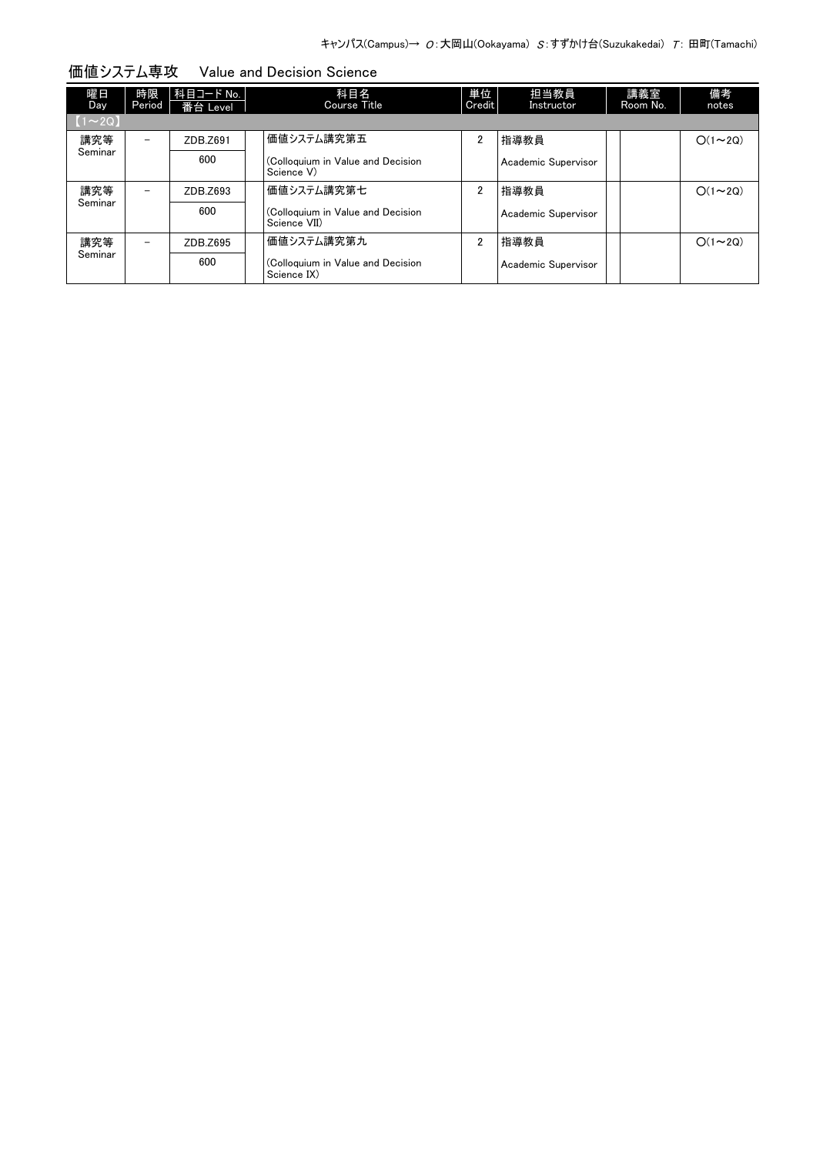| 躍日<br><b>Day</b> | 時限<br>Period | 科目コード No.<br>番台 Level | 科目名<br>Course Title                               | 単位<br>Credit   | 担当教員<br>Instructor  | 講義室<br>Room No. | 備考<br>notes   |
|------------------|--------------|-----------------------|---------------------------------------------------|----------------|---------------------|-----------------|---------------|
| $(1\sim 2Q)$     |              |                       |                                                   |                |                     |                 |               |
| 講究等              | -            | ZDB.Z691              | 価値システム講究第五                                        | $\overline{2}$ | 指導教員                |                 | $O(1\sim 2Q)$ |
| Seminar          |              | 600                   | (Colloquium in Value and Decision<br>Science V)   |                | Academic Supervisor |                 |               |
| 講究等              |              | ZDB.Z693              | 価値システム講究第七                                        | $\overline{2}$ | 指導教員                |                 | $O(1\sim 2Q)$ |
| Seminar          |              | 600                   | (Colloquium in Value and Decision<br>Science VII) |                | Academic Supervisor |                 |               |
| 講究等              | -            | ZDB.Z695              | 価値システム講究第九                                        | $\overline{2}$ | 指導教員                |                 | $O(1\sim 2Q)$ |
| Seminar          |              | 600                   | (Colloquium in Value and Decision<br>Science IX)  |                | Academic Supervisor |                 |               |

価値システム専攻 Value and Decision Science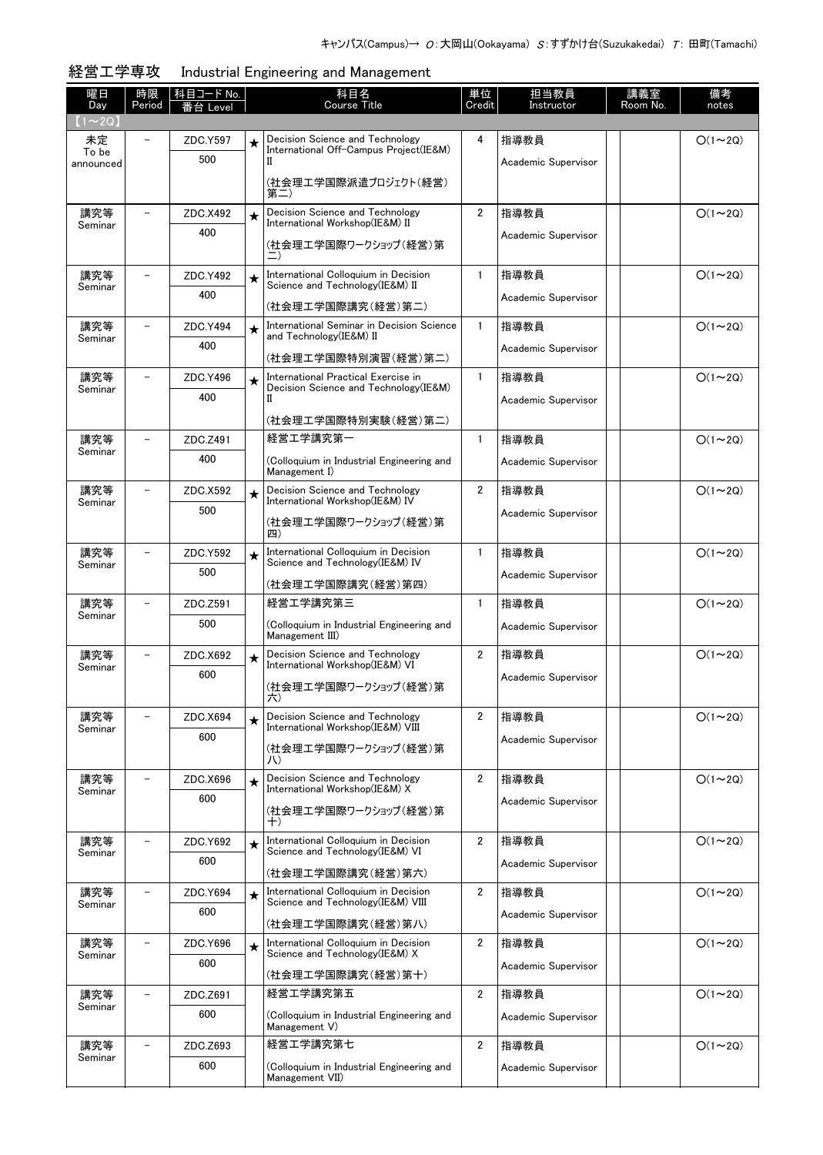| 曜日<br>Day          | 時限<br>Period             | 科目コード No.<br>番台 Level |         | 科目名<br>Course Title                                                      | 単位<br>Credit   | 担当教員<br>Instructor  | 講義室<br>Room No. | 備考<br>notes    |
|--------------------|--------------------------|-----------------------|---------|--------------------------------------------------------------------------|----------------|---------------------|-----------------|----------------|
| $(1 \sim 2Q)$      |                          |                       |         |                                                                          |                |                     |                 |                |
| 未定                 |                          | ZDC.Y597              | $\star$ | Decision Science and Technology                                          | 4              | 指導教員                |                 | $O(1\sim 2Q)$  |
| To be<br>announced |                          | 500                   |         | International Off-Campus Project(IE&M)<br>П                              |                | Academic Supervisor |                 |                |
|                    |                          |                       |         | (社会理工学国際派遣プロジェクト(経営)                                                     |                |                     |                 |                |
|                    |                          |                       |         | 第二)                                                                      |                |                     |                 |                |
| 講究等<br>Seminar     |                          | ZDC.X492              | $\star$ | Decision Science and Technology<br>International Workshop(IE&M) II       | $\overline{2}$ | 指導教員                |                 | $O(1 \sim 2Q)$ |
|                    |                          | 400                   |         | (社会理工学国際ワークショップ(経営)第                                                     |                | Academic Supervisor |                 |                |
|                    |                          |                       |         | 二)                                                                       |                |                     |                 |                |
| 講究等                | $\overline{\phantom{0}}$ | ZDC.Y492              | $\star$ | International Colloquium in Decision                                     | $\mathbf{1}$   | 指導教員                |                 | $O(1\sim 2Q)$  |
| Seminar            |                          | 400                   |         | Science and Technology (IE&M) II                                         |                | Academic Supervisor |                 |                |
|                    |                          |                       |         | (社会理工学国際講究(経営)第二)                                                        |                |                     |                 |                |
| 講究等<br>Seminar     |                          | ZDC.Y494              | $\star$ | International Seminar in Decision Science<br>and Technology(IE&M) II     | $\mathbf{1}$   | 指導教員                |                 | $O(1\sim 2Q)$  |
|                    |                          | 400                   |         | (社会理工学国際特別演習(経営)第二)                                                      |                | Academic Supervisor |                 |                |
| 講究等                |                          | ZDC.Y496              | $\star$ | International Practical Exercise in                                      | $\mathbf{1}$   | 指導教員                |                 | $O(1\sim 2Q)$  |
| Seminar            |                          | 400                   |         | Decision Science and Technology (IE&M)<br>П                              |                | Academic Supervisor |                 |                |
|                    |                          |                       |         | (社会理工学国際特別実験(経営)第二)                                                      |                |                     |                 |                |
| 講究等                | $\overline{\phantom{0}}$ | ZDC.Z491              |         | 経営工学講究第一                                                                 | $\mathbf{1}$   | 指導教員                |                 | $O(1\sim 2Q)$  |
| Seminar            |                          | 400                   |         | (Colloquium in Industrial Engineering and                                |                | Academic Supervisor |                 |                |
|                    |                          |                       |         | Management I)                                                            |                |                     |                 |                |
| 講究等                |                          | ZDC.X592              | $\star$ | Decision Science and Technology<br>International Workshop(IE&M) IV       | $\overline{2}$ | 指導教員                |                 | $O(1\sim 2Q)$  |
| Seminar            |                          | 500                   |         |                                                                          |                | Academic Supervisor |                 |                |
|                    |                          |                       |         | (社会理工学国際ワークショップ(経営)第<br>四)                                               |                |                     |                 |                |
| 講究等                |                          | ZDC.Y592              | $\star$ | International Colloquium in Decision                                     | $\mathbf{1}$   | 指導教員                |                 | $O(1\sim 2Q)$  |
| Seminar            |                          | 500                   |         | Science and Technology (IE&M) IV                                         |                | Academic Supervisor |                 |                |
|                    |                          |                       |         | (社会理工学国際講究(経営)第四)                                                        |                |                     |                 |                |
| 講究等<br>Seminar     | $\overline{\phantom{0}}$ | ZDC.Z591              |         | 経営工学講究第三                                                                 | $\mathbf{1}$   | 指導教員                |                 | $O(1\sim 2Q)$  |
|                    |                          | 500                   |         | (Colloquium in Industrial Engineering and<br>Management III)             |                | Academic Supervisor |                 |                |
| 講究等                |                          | ZDC.X692              |         | Decision Science and Technology                                          | $\overline{2}$ | 指導教員                |                 | $O(1\sim 2Q)$  |
| Seminar            |                          | 600                   | $\star$ | International Workshop(IE&M) VI                                          |                | Academic Supervisor |                 |                |
|                    |                          |                       |         | (社会理工学国際ワークショップ(経営)第<br>六)                                               |                |                     |                 |                |
| 講究等                |                          | ZDC.X694              |         | Decision Science and Technology                                          | 2              | 指導教員                |                 | $O(1\sim 2Q)$  |
| Seminar            |                          | 600                   | $\star$ | International Workshop(IE&M) VIII                                        |                |                     |                 |                |
|                    |                          |                       |         | (社会理工学国際ワークショップ(経営)第                                                     |                | Academic Supervisor |                 |                |
|                    |                          |                       |         | JV)                                                                      |                |                     |                 |                |
| 講究等<br>Seminar     |                          | ZDC.X696              | $\star$ | Decision Science and Technology<br>International Workshop(IE&M) X        | $\overline{2}$ | 指導教員                |                 | $O(1\sim 2Q)$  |
|                    |                          | 600                   |         | (社会理工学国際ワークショップ(経営)第                                                     |                | Academic Supervisor |                 |                |
|                    |                          |                       |         | $^{+)}$                                                                  |                |                     |                 |                |
| 講究等<br>Seminar     |                          | ZDC.Y692              | $\star$ | International Colloquium in Decision<br>Science and Technology (IE&M) VI | $\overline{2}$ | 指導教員                |                 | $O(1\sim 2Q)$  |
|                    |                          | 600                   |         | (社会理工学国際講究(経営)第六)                                                        |                | Academic Supervisor |                 |                |
| 講究等                |                          | ZDC.Y694              | $\star$ | International Colloquium in Decision                                     | $\overline{2}$ | 指導教員                |                 | $O(1\sim 2Q)$  |
| Seminar            |                          | 600                   |         | Science and Technology (IE&M) VIII                                       |                | Academic Supervisor |                 |                |
|                    |                          |                       |         | (社会理工学国際講究(経営)第八)                                                        |                |                     |                 |                |
| 講究等<br>Seminar     |                          | ZDC.Y696              | $\star$ | International Colloquium in Decision<br>Science and Technology (IE&M) X  | $\overline{2}$ | 指導教員                |                 | $O(1\sim 2Q)$  |
|                    |                          | 600                   |         | (社会理工学国際講究(経営)第十)                                                        |                | Academic Supervisor |                 |                |
| 講究等                |                          | ZDC.Z691              |         | 経営工学講究第五                                                                 | $\overline{2}$ | 指導教員                |                 | $O(1\sim 2Q)$  |
| Seminar            |                          | 600                   |         | (Colloquium in Industrial Engineering and                                |                |                     |                 |                |
|                    |                          |                       |         | Management V)                                                            |                | Academic Supervisor |                 |                |
| 講究等                |                          | ZDC.Z693              |         | 経営工学講究第七                                                                 | $\overline{2}$ | 指導教員                |                 | $O(1\sim 2Q)$  |
| Seminar            |                          | 600                   |         | (Colloquium in Industrial Engineering and                                |                | Academic Supervisor |                 |                |
|                    |                          |                       |         | Management VII)                                                          |                |                     |                 |                |

## 経営工学専攻 Industrial Engineering and Management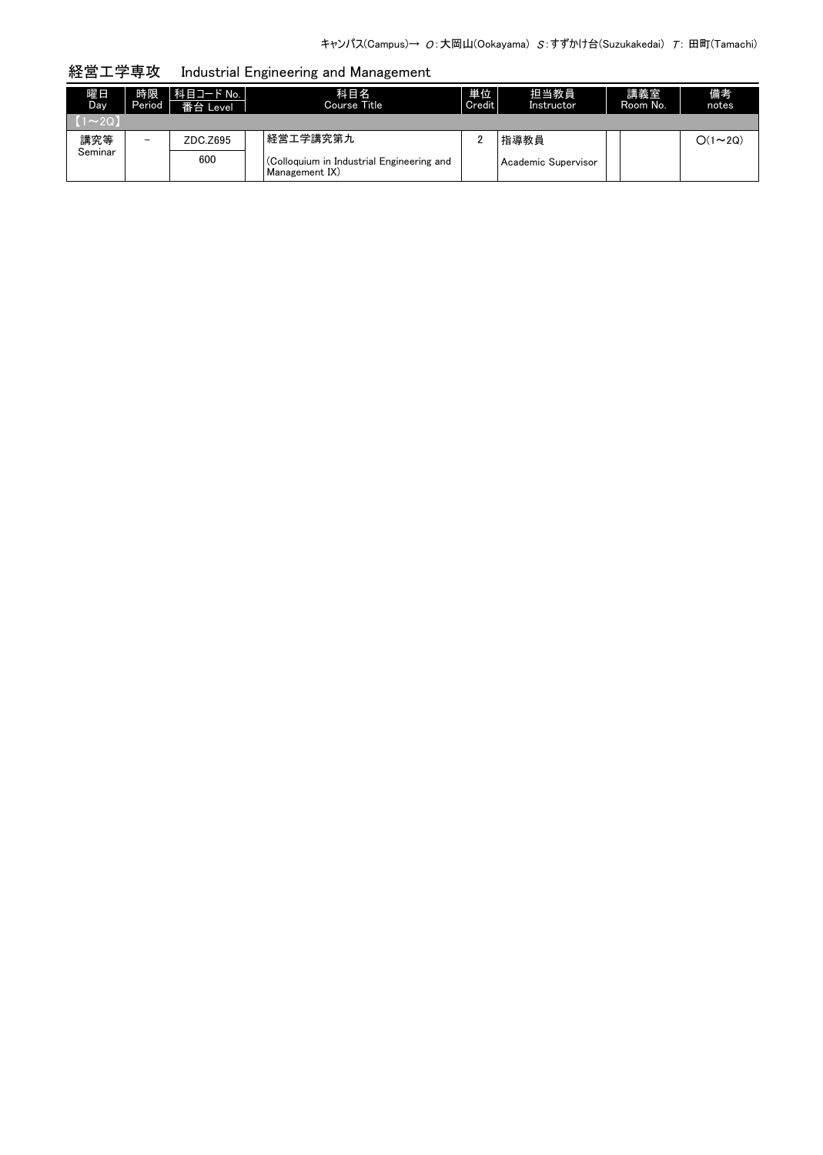経営工学専攻 Industrial Engineering and Management

| 曜日<br>Day.  | 時限<br>Period             | 【科目コード No.  <br>番台 Level | 科目名<br>Course Title                                         | 単位<br>Credit | 担当教員<br>Instructor  | 講義室<br>Room No. | 備考<br>notes   |
|-------------|--------------------------|--------------------------|-------------------------------------------------------------|--------------|---------------------|-----------------|---------------|
| $(1\sim20)$ |                          |                          |                                                             |              |                     |                 |               |
| 講究等         | $\overline{\phantom{0}}$ | ZDC.Z695                 | 経営エ学講究第九                                                    |              | 指導教員                |                 | $O(1\sim 2Q)$ |
| Seminar     |                          | 600                      | (Colloquium in Industrial Engineering and<br>Management IX) |              | Academic Supervisor |                 |               |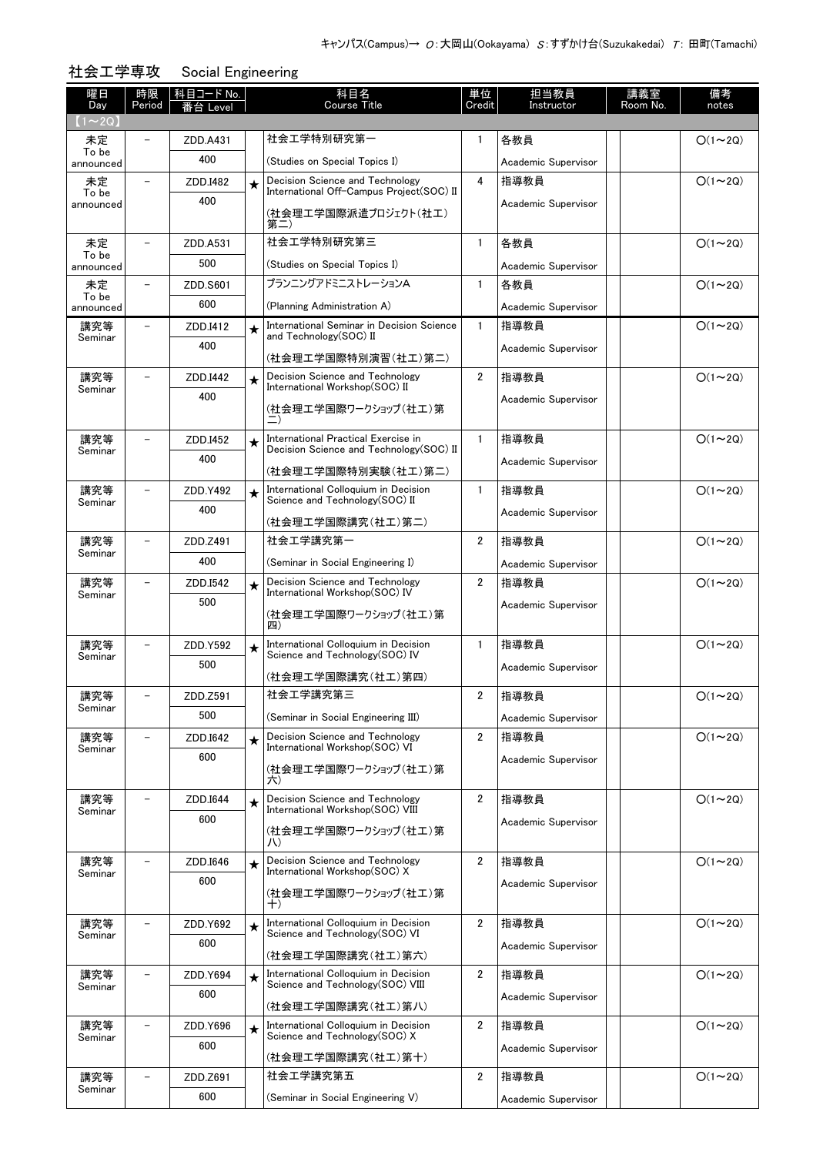| 曜日                  | 時限                       | 科目コード No. |         | 科目名                                                                             | 単位             | 担当教員                        | 講義室      | 備考             |
|---------------------|--------------------------|-----------|---------|---------------------------------------------------------------------------------|----------------|-----------------------------|----------|----------------|
| Day<br>$(1\sim 2Q)$ | Period                   | 治 Level   |         | <b>Course Title</b>                                                             | Credit         | Instructor                  | Room No. | notes          |
| 未定                  |                          | ZDD.A431  |         | 社会工学特別研究第一                                                                      | 1              | 各教員                         |          | $O(1\sim 2Q)$  |
| To be<br>announced  |                          | 400       |         | (Studies on Special Topics I)                                                   |                | Academic Supervisor         |          |                |
| 未定                  |                          | ZDD.I482  | $\star$ | Decision Science and Technology                                                 | 4              | 指導教員                        |          | $O(1\sim 2Q)$  |
| To be<br>announced  |                          | 400       |         | International Off-Campus Project(SOC) II                                        |                | Academic Supervisor         |          |                |
|                     |                          |           |         | (社会理エ学国際派遣プロジェクト(社エ)<br>第二)                                                     |                |                             |          |                |
| 未定                  |                          | ZDD.A531  |         | 社会工学特別研究第三                                                                      | $\mathbf{1}$   | 各教員                         |          | $O(1\sim 2Q)$  |
| To be<br>announced  |                          | 500       |         | (Studies on Special Topics I)                                                   |                | Academic Supervisor         |          |                |
| 未定                  |                          | ZDD.S601  |         | プランニングアドミニストレーションA                                                              | $\mathbf{1}$   | 各教員                         |          | $O(1\sim 2Q)$  |
| To be<br>announced  |                          | 600       |         | (Planning Administration A)                                                     |                | Academic Supervisor         |          |                |
| 講究等                 |                          | ZDD.I412  | $\star$ | International Seminar in Decision Science                                       | $\mathbf{1}$   | 指導教員                        |          | $O(1\sim 2Q)$  |
| Seminar             |                          | 400       |         | and Technology(SOC) II                                                          |                | Academic Supervisor         |          |                |
|                     |                          |           |         | (社会理工学国際特別演習(社工)第二)                                                             |                |                             |          |                |
| 講究等<br>Seminar      | $\overline{\phantom{a}}$ | ZDD.I442  | $\star$ | Decision Science and Technology<br>International Workshop(SOC) II               | $\overline{2}$ | 指導教員                        |          | $O(1\sim 2Q)$  |
|                     |                          | 400       |         | (社会理工学国際ワークショップ(社工)第                                                            |                | Academic Supervisor         |          |                |
|                     |                          |           |         |                                                                                 |                |                             |          |                |
| 講究等<br>Seminar      |                          | ZDD.I452  | $\star$ | International Practical Exercise in<br>Decision Science and Technology (SOC) II | $\mathbf{1}$   | 指導教員                        |          | $O(1\sim 2Q)$  |
|                     |                          | 400       |         | (社会理工学国際特別実験(社工)第二)                                                             |                | Academic Supervisor         |          |                |
| 講究等                 |                          | ZDD.Y492  | $\star$ | International Colloquium in Decision                                            | $\mathbf{1}$   | 指導教員                        |          | $O(1\sim 2Q)$  |
| Seminar             |                          | 400       |         | Science and Technology (SOC) II                                                 |                | Academic Supervisor         |          |                |
|                     |                          |           |         | (社会理工学国際講究(社工)第二)                                                               |                |                             |          |                |
| 講究等                 |                          | ZDD.Z491  |         | 社会工学講究第一                                                                        | 2              | 指導教員                        |          | $O(1\sim 2Q)$  |
| Seminar             |                          | 400       |         | (Seminar in Social Engineering I)                                               |                | Academic Supervisor         |          |                |
| 講究等                 |                          | ZDD.I542  | $\star$ | Decision Science and Technology<br>International Workshop(SOC) IV               | $\overline{2}$ | 指導教員                        |          | $O(1\sim 2Q)$  |
| Seminar             |                          | 500       |         | (社会理工学国際ワークショップ(社工)第                                                            |                | Academic Supervisor         |          |                |
|                     |                          |           |         | 四)                                                                              |                |                             |          |                |
| 講究等                 |                          | ZDD.Y592  | $\star$ | International Colloquium in Decision<br>Science and Technology (SOC) IV         | $\mathbf{1}$   | 指導教員                        |          | $O(1\sim 2Q)$  |
| Seminar             |                          | 500       |         |                                                                                 |                | Academic Supervisor         |          |                |
| 講究等                 |                          | ZDD.Z591  |         | (社会理工学国際講究(社工)第四)<br>社会エ学講究第三                                                   | 2              | 指導教員                        |          | $O(1 \sim 2Q)$ |
| Seminar             |                          | 500       |         | (Seminar in Social Engineering III)                                             |                |                             |          |                |
| 講究等                 |                          | ZDD.I642  |         | Decision Science and Technology                                                 | $\overline{2}$ | Academic Supervisor<br>指導教員 |          | $O(1\sim 2Q)$  |
| Seminar             |                          | 600       | $\star$ | International Workshop(SOC) VI                                                  |                |                             |          |                |
|                     |                          |           |         | (社会理工学国際ワークショップ(社工)第                                                            |                | Academic Supervisor         |          |                |
| 講究等                 |                          | ZDD.I644  |         | 六)<br>Decision Science and Technology                                           | 2              |                             |          | $O(1\sim 2Q)$  |
| Seminar             |                          | 600       | $\star$ | International Workshop(SOC) VIII                                                |                | 指導教員                        |          |                |
|                     |                          |           |         | (社会理工学国際ワークショップ(社工)第                                                            |                | Academic Supervisor         |          |                |
|                     |                          | ZDD.I646  |         | JV)<br>Decision Science and Technology                                          | 2              |                             |          | $O(1\sim 2Q)$  |
| 講究等<br>Seminar      |                          | 600       | $\star$ | International Workshop(SOC) X                                                   |                | 指導教員                        |          |                |
|                     |                          |           |         | (社会理工学国際ワークショップ(社工)第<br>$^{+)}$                                                 |                | Academic Supervisor         |          |                |
| 講究等                 |                          | ZDD.Y692  |         | International Colloquium in Decision                                            | $\overline{2}$ | 指導教員                        |          | $O(1\sim 2Q)$  |
| Seminar             |                          | 600       | $\star$ | Science and Technology(SOC) VI                                                  |                |                             |          |                |
|                     |                          |           |         | (社会理エ学国際講究(社エ)第六)                                                               |                | Academic Supervisor         |          |                |
| 講究等                 |                          | ZDD.Y694  | $\star$ | International Colloquium in Decision<br>Science and Technology (SOC) VIII       | 2              | 指導教員                        |          | $O(1\sim 2Q)$  |
| Seminar             |                          | 600       |         | (社会理工学国際講究(社工)第八)                                                               |                | Academic Supervisor         |          |                |
| 講究等                 |                          | ZDD.Y696  |         | International Colloquium in Decision                                            | 2              | 指導教員                        |          | $O(1\sim 2Q)$  |
| Seminar             |                          | 600       | $\star$ | Science and Technology (SOC) X                                                  |                |                             |          |                |
|                     |                          |           |         | (社会理工学国際講究(社工)第十)                                                               |                | Academic Supervisor         |          |                |
| 講究等                 | $\qquad \qquad -$        | ZDD.Z691  |         | 社会工学講究第五                                                                        | 2              | 指導教員                        |          | $O(1\sim 2Q)$  |
| Seminar             |                          | 600       |         | (Seminar in Social Engineering V)                                               |                | Academic Supervisor         |          |                |

社会工学専攻 Social Engineering